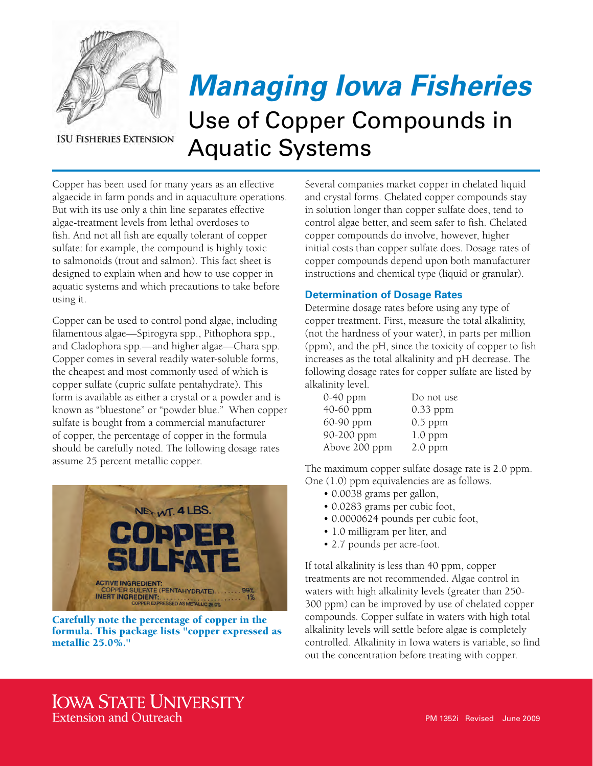

**ISU FISHERIES EXTENSION** 

## *Managing Iowa Fisheries* Use of Copper Compounds in Aquatic Systems

Copper has been used for many years as an effective algaecide in farm ponds and in aquaculture operations. But with its use only a thin line separates effective algae-treatment levels from lethal overdoses to fish. And not all fish are equally tolerant of copper sulfate: for example, the compound is highly toxic to salmonoids (trout and salmon). This fact sheet is designed to explain when and how to use copper in aquatic systems and which precautions to take before using it.

Copper can be used to control pond algae, including filamentous algae—Spirogyra spp., Pithophora spp., and Cladophora spp.—and higher algae—Chara spp. Copper comes in several readily water-soluble forms, the cheapest and most commonly used of which is copper sulfate (cupric sulfate pentahydrate). This form is available as either a crystal or a powder and is known as "bluestone" or "powder blue." When copper sulfate is bought from a commercial manufacturer of copper, the percentage of copper in the formula should be carefully noted. The following dosage rates assume 25 percent metallic copper.



Carefully note the percentage of copper in the formula. This package lists "copper expressed as metallic 25.0%."

Several companies market copper in chelated liquid and crystal forms. Chelated copper compounds stay in solution longer than copper sulfate does, tend to control algae better, and seem safer to fish. Chelated copper compounds do involve, however, higher initial costs than copper sulfate does. Dosage rates of copper compounds depend upon both manufacturer instructions and chemical type (liquid or granular).

## **Determination of Dosage Rates**

Determine dosage rates before using any type of copper treatment. First, measure the total alkalinity, (not the hardness of your water), in parts per million (ppm), and the pH, since the toxicity of copper to fish increases as the total alkalinity and pH decrease. The following dosage rates for copper sulfate are listed by alkalinity level.

| $0-40$ ppm    | Do not use |
|---------------|------------|
| 40-60 ppm     | $0.33$ ppm |
| 60-90 ppm     | $0.5$ ppm  |
| 90-200 ppm    | $1.0$ ppm  |
| Above 200 ppm | $2.0$ ppm  |

The maximum copper sulfate dosage rate is 2.0 ppm. One (1.0) ppm equivalencies are as follows.

- 0.0038 grams per gallon,
- 0.0283 grams per cubic foot,
- 0.0000624 pounds per cubic foot,
- 1.0 milligram per liter, and
- 2.7 pounds per acre-foot.

If total alkalinity is less than 40 ppm, copper treatments are not recommended. Algae control in waters with high alkalinity levels (greater than 250- 300 ppm) can be improved by use of chelated copper compounds. Copper sulfate in waters with high total alkalinity levels will settle before algae is completely controlled. Alkalinity in Iowa waters is variable, so find out the concentration before treating with copper.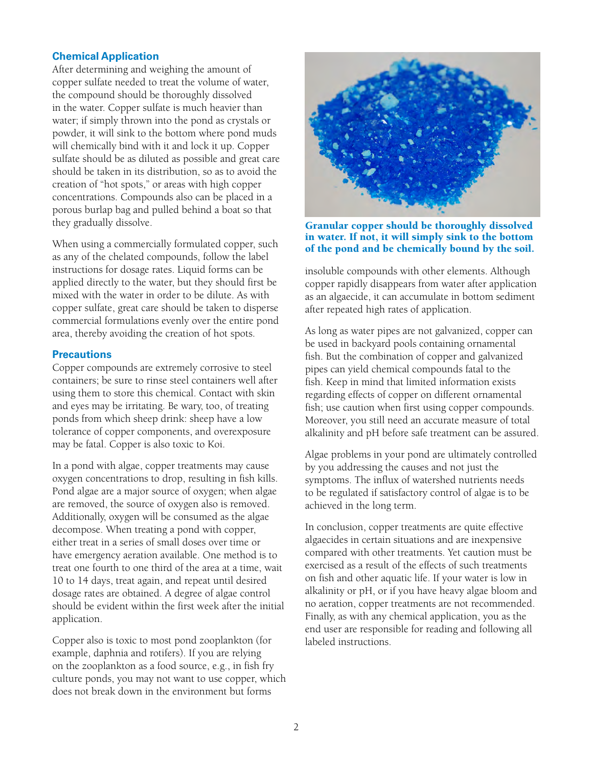## **Chemical Application**

After determining and weighing the amount of copper sulfate needed to treat the volume of water, the compound should be thoroughly dissolved in the water. Copper sulfate is much heavier than water; if simply thrown into the pond as crystals or powder, it will sink to the bottom where pond muds will chemically bind with it and lock it up. Copper sulfate should be as diluted as possible and great care should be taken in its distribution, so as to avoid the creation of "hot spots," or areas with high copper concentrations. Compounds also can be placed in a porous burlap bag and pulled behind a boat so that they gradually dissolve.

When using a commercially formulated copper, such as any of the chelated compounds, follow the label instructions for dosage rates. Liquid forms can be applied directly to the water, but they should first be mixed with the water in order to be dilute. As with copper sulfate, great care should be taken to disperse commercial formulations evenly over the entire pond area, thereby avoiding the creation of hot spots.

## **Precautions**

Copper compounds are extremely corrosive to steel containers; be sure to rinse steel containers well after using them to store this chemical. Contact with skin and eyes may be irritating. Be wary, too, of treating ponds from which sheep drink: sheep have a low tolerance of copper components, and overexposure may be fatal. Copper is also toxic to Koi.

In a pond with algae, copper treatments may cause oxygen concentrations to drop, resulting in fish kills. Pond algae are a major source of oxygen; when algae are removed, the source of oxygen also is removed. Additionally, oxygen will be consumed as the algae decompose. When treating a pond with copper, either treat in a series of small doses over time or have emergency aeration available. One method is to treat one fourth to one third of the area at a time, wait 10 to 14 days, treat again, and repeat until desired dosage rates are obtained. A degree of algae control should be evident within the first week after the initial application.

Copper also is toxic to most pond zooplankton (for example, daphnia and rotifers). If you are relying on the zooplankton as a food source, e.g., in fish fry culture ponds, you may not want to use copper, which does not break down in the environment but forms



Granular copper should be thoroughly dissolved in water. If not, it will simply sink to the bottom of the pond and be chemically bound by the soil.

insoluble compounds with other elements. Although copper rapidly disappears from water after application as an algaecide, it can accumulate in bottom sediment after repeated high rates of application.

As long as water pipes are not galvanized, copper can be used in backyard pools containing ornamental fish. But the combination of copper and galvanized pipes can yield chemical compounds fatal to the fish. Keep in mind that limited information exists regarding effects of copper on different ornamental fish; use caution when first using copper compounds. Moreover, you still need an accurate measure of total alkalinity and pH before safe treatment can be assured.

Algae problems in your pond are ultimately controlled by you addressing the causes and not just the symptoms. The influx of watershed nutrients needs to be regulated if satisfactory control of algae is to be achieved in the long term.

In conclusion, copper treatments are quite effective algaecides in certain situations and are inexpensive compared with other treatments. Yet caution must be exercised as a result of the effects of such treatments on fish and other aquatic life. If your water is low in alkalinity or pH, or if you have heavy algae bloom and no aeration, copper treatments are not recommended. Finally, as with any chemical application, you as the end user are responsible for reading and following all labeled instructions.